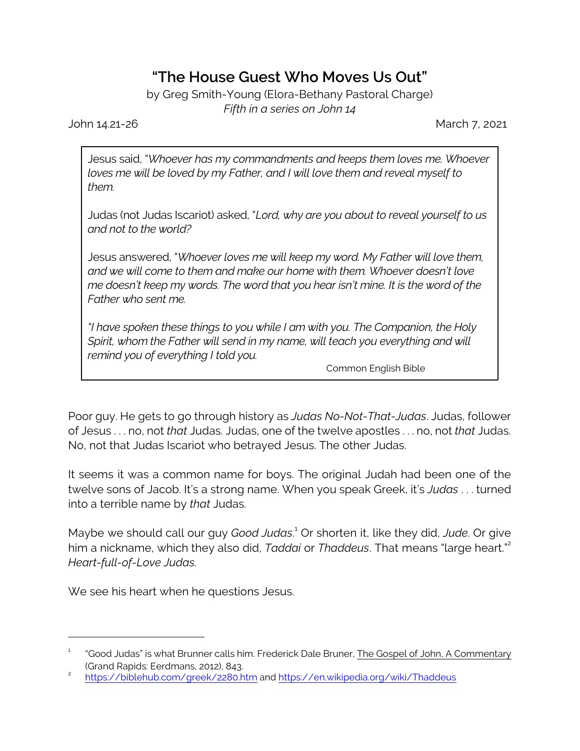## **"The House Guest Who Moves Us Out"**

by Greg Smith-Young (Elora-Bethany Pastoral Charge) *Fifth in a series on John 14*

John 14.21-26 March 7, 2021

Jesus said, "*Whoever has my commandments and keeps them loves me. Whoever loves me will be loved by my Father, and I will love them and reveal myself to them.*

Judas (not Judas Iscariot) asked, "*Lord, why are you about to reveal yourself to us and not to the world?*

Jesus answered, "*Whoever loves me will keep my word. My Father will love them, and we will come to them and make our home with them. Whoever doesn't love me doesn't keep my words. The word that you hear isn't mine. It is the word of the Father who sent me.*

*"I have spoken these things to you while I am with you. The Companion, the Holy Spirit, whom the Father will send in my name, will teach you everything and will remind you of everything I told you.*

Common English Bible

Poor guy. He gets to go through history as *Judas No-Not-That-Judas*. Judas, follower of Jesus . . . no, not *that* Judas. Judas, one of the twelve apostles . . . no, not *that* Judas. No, not that Judas Iscariot who betrayed Jesus. The other Judas.

It seems it was a common name for boys. The original Judah had been one of the twelve sons of Jacob. It's a strong name. When you speak Greek, it's *Judas* . . . turned into a terrible name by *that* Judas.

Maybe we should call our guy *Good Judas*. <sup>1</sup> Or shorten it, like they did, *Jude*. Or give him a nickname, which they also did, *Taddai* or *Thaddeus*. That means "large heart."<sup>2</sup> *Heart-full-of-Love Judas.*

We see his heart when he questions Jesus.

<sup>1</sup> "Good Judas" is what Brunner calls him. Frederick Dale Bruner, The Gospel of John, A Commentary (Grand Rapids: Eerdmans, 2012), 843.

<sup>2</sup> <https://biblehub.com/greek/2280.htm> and<https://en.wikipedia.org/wiki/Thaddeus>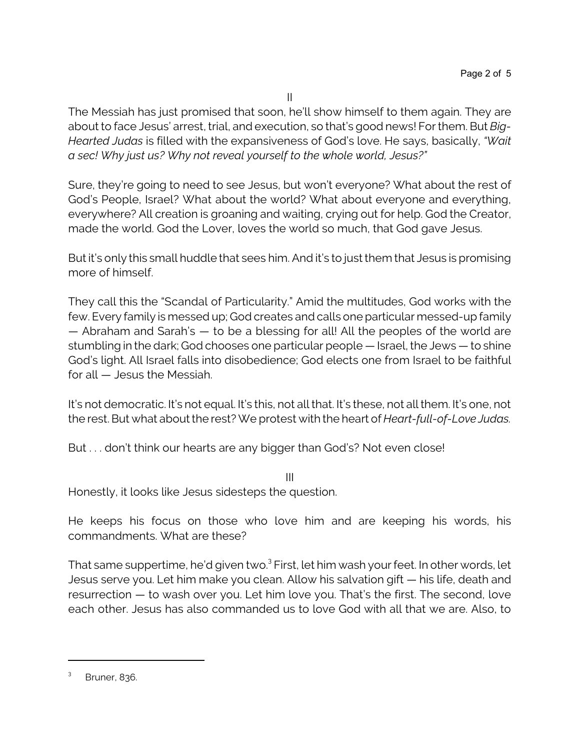II

The Messiah has just promised that soon, he'll show himself to them again. They are about to face Jesus' arrest, trial, and execution, so that's good news! For them. But *Big-Hearted Judas* is filled with the expansiveness of God's love. He says, basically, *"Wait a sec! Why just us? Why not reveal yourself to the whole world, Jesus?"*

Sure, they're going to need to see Jesus, but won't everyone? What about the rest of God's People, Israel? What about the world? What about everyone and everything, everywhere? All creation is groaning and waiting, crying out for help. God the Creator, made the world. God the Lover, loves the world so much, that God gave Jesus.

But it's only this small huddle that sees him. And it's to just them that Jesus is promising more of himself.

They call this the "Scandal of Particularity." Amid the multitudes, God works with the few. Every family is messed up; God creates and calls one particular messed-up family — Abraham and Sarah's — to be a blessing for all! All the peoples of the world are stumbling in the dark; God chooses one particular people — Israel, the Jews — to shine God's light. All Israel falls into disobedience; God elects one from Israel to be faithful for all — Jesus the Messiah.

It's not democratic. It's not equal. It's this, not all that. It's these, not all them. It's one, not the rest. But what about the rest? We protest with the heart of *Heart-full-of-Love Judas.* 

But . . . don't think our hearts are any bigger than God's? Not even close!

III Honestly, it looks like Jesus sidesteps the question.

He keeps his focus on those who love him and are keeping his words, his commandments. What are these?

That same suppertime, he'd given two.<sup>3</sup> First, let him wash your feet. In other words, let Jesus serve you. Let him make you clean. Allow his salvation gift — his life, death and resurrection — to wash over you. Let him love you. That's the first. The second, love each other. Jesus has also commanded us to love God with all that we are. Also, to

<sup>3</sup> Bruner, 836.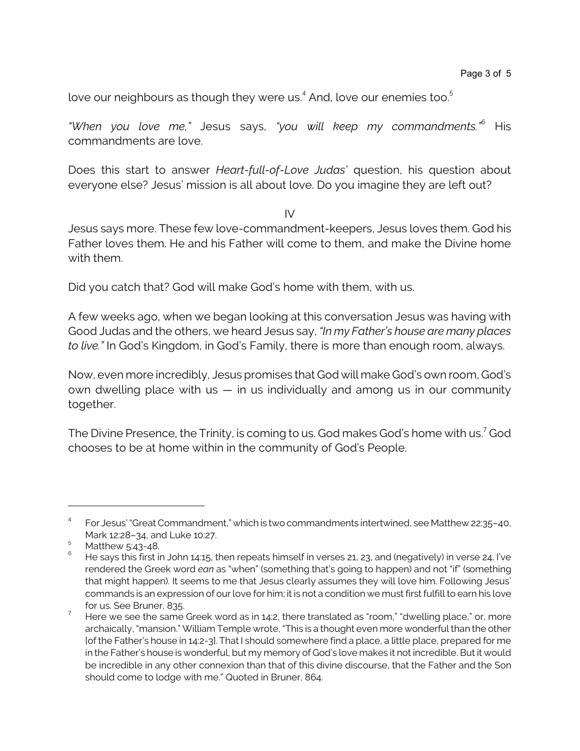love our neighbours as though they were us. $^{\rm 4}$  And, love our enemies too. $^{\rm 5}$ 

*"When you love me,"* Jesus says, *"you will keep my commandments."*<sup>6</sup> His commandments are love.

Does this start to answer *Heart-full-of-Love Judas'* question, his question about everyone else? Jesus' mission is all about love. Do you imagine they are left out?

IV

Jesus says more. These few love-commandment-keepers, Jesus loves them. God his Father loves them. He and his Father will come to them, and make the Divine home with them.

Did you catch that? God will make God's home with them, with us.

A few weeks ago, when we began looking at this conversation Jesus was having with Good Judas and the others, we heard Jesus say, *"In my Father's house are many places to live."* In God's Kingdom, in God's Family, there is more than enough room, always.

Now, even more incredibly, Jesus promises that God will make God's own room, God's own dwelling place with us  $-$  in us individually and among us in our community together.

The Divine Presence, the Trinity, is coming to us. God makes God's home with us. $^7$  God chooses to be at home within in the community of God's People.

<sup>4</sup> For Jesus' "Great Commandment," which is two commandments intertwined, see Matthew 22:35–40, Mark 12:28–34, and Luke 10:27.

<sup>5</sup> Matthew 5:43-48.

<sup>6</sup> He says this first in John 14:15, then repeats himself in verses 21, 23, and (negatively) in verse 24. I've rendered the Greek word *ean* as "when" (something that's going to happen) and not "if" (something that might happen). It seems to me that Jesus clearly assumes they will love him. Following Jesus' commands is an expression of our love for him; it is not a condition we must first fulfill to earn his love for us. See Bruner, 835.

<sup>&</sup>lt;sup>7</sup> Here we see the same Greek word as in 14:2, there translated as "room," "dwelling place," or, more archaically, "mansion." William Temple wrote, "This is a thought even more wonderful than the other [of the Father's house in 14:2-3]. That I should somewhere find a place, a little place, prepared for me in the Father's house is wonderful, but my memory of God's love makes it not incredible. But it would be incredible in any other connexion than that of this divine discourse, that the Father and the Son should come to lodge with me." Quoted in Bruner, 864.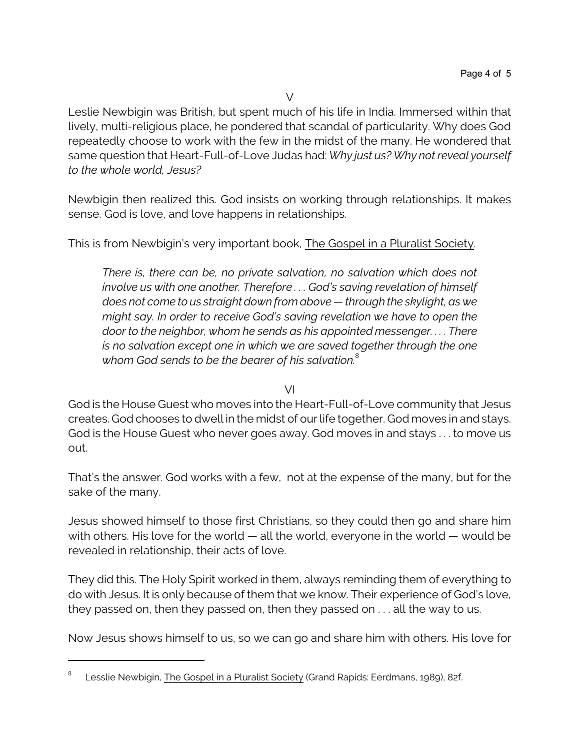Leslie Newbigin was British, but spent much of his life in India. Immersed within that lively, multi-religious place, he pondered that scandal of particularity. Why does God repeatedly choose to work with the few in the midst of the many. He wondered that same question that Heart-Full-of-Love Judas had: *Why just us? Why not reveal yourself to the whole world, Jesus?*

Newbigin then realized this. God insists on working through relationships. It makes sense. God is love, and love happens in relationships.

This is from Newbigin's very important book, The Gospel in a Pluralist Society.

*There is, there can be, no private salvation, no salvation which does not involve us with one another. Therefore . . . God's saving revelation of himself does not come to us straight down from above — through the skylight, as we might say. In order to receive God's saving revelation we have to open the door to the neighbor, whom he sends as his appointed messenger. . . . There is no salvation except one in which we are saved together through the one whom God sends to be the bearer of his salvation.*<sup>8</sup>

## VI

God is the House Guest who moves into the Heart-Full-of-Love community that Jesus creates. God chooses to dwell in the midst of our life together. God moves in and stays. God is the House Guest who never goes away. God moves in and stays . . . to move us out.

That's the answer. God works with a few, not at the expense of the many, but for the sake of the many.

Jesus showed himself to those first Christians, so they could then go and share him with others. His love for the world — all the world, everyone in the world — would be revealed in relationship, their acts of love.

They did this. The Holy Spirit worked in them, always reminding them of everything to do with Jesus. It is only because of them that we know. Their experience of God's love, they passed on, then they passed on, then they passed on . . . all the way to us.

Now Jesus shows himself to us, so we can go and share him with others. His love for

<sup>8</sup> Lesslie Newbigin, The Gospel in a Pluralist Society (Grand Rapids: Eerdmans, 1989), 82f.